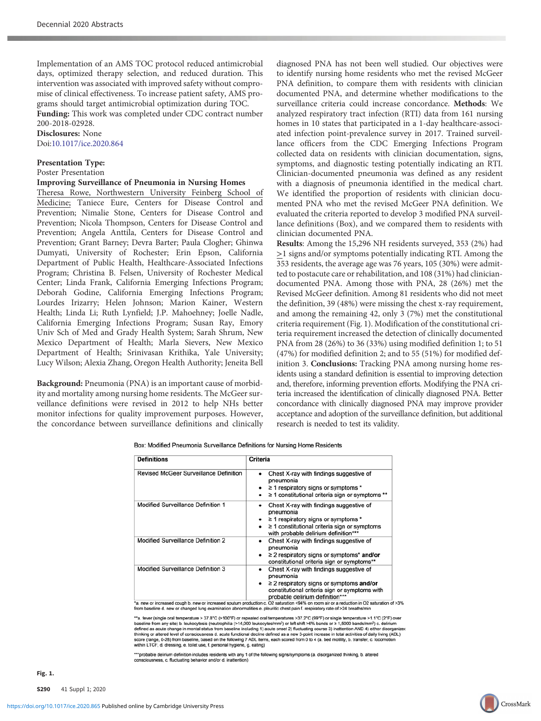Implementation of an AMS TOC protocol reduced antimicrobial days, optimized therapy selection, and reduced duration. This intervention was associated with improved safety without compromise of clinical effectiveness. To increase patient safety, AMS programs should target antimicrobial optimization during TOC.

Funding: This work was completed under CDC contract number 200-2018-02928.

## Disclosures: None Doi:10.1017/ice.2020.864

#### Presentation Type:

Poster Presentation

# Improving Surveillance of Pneumonia in Nursing Homes

Theresa Rowe, Northwestern University Feinberg School of Medicine; Taniece Eure, Centers for Disease Control and Prevention; Nimalie Stone, Centers for Disease Control and Prevention; Nicola Thompson, Centers for Disease Control and Prevention; Angela Anttila, Centers for Disease Control and Prevention; Grant Barney; Devra Barter; Paula Clogher; Ghinwa Dumyati, University of Rochester; Erin Epson, California Department of Public Health, Healthcare-Associated Infections Program; Christina B. Felsen, University of Rochester Medical Center; Linda Frank, California Emerging Infections Program; Deborah Godine, California Emerging Infections Program; Lourdes Irizarry; Helen Johnson; Marion Kainer, Western Health; Linda Li; Ruth Lynfield; J.P. Mahoehney; Joelle Nadle, California Emerging Infections Program; Susan Ray, Emory Univ Sch of Med and Grady Health System; Sarah Shrum, New Mexico Department of Health; Marla Sievers, New Mexico Department of Health; Srinivasan Krithika, Yale University; Lucy Wilson; Alexia Zhang, Oregon Health Authority; Jeneita Bell

Background: Pneumonia (PNA) is an important cause of morbidity and mortality among nursing home residents. The McGeer surveillance definitions were revised in 2012 to help NHs better monitor infections for quality improvement purposes. However, the concordance between surveillance definitions and clinically

diagnosed PNA has not been well studied. Our objectives were to identify nursing home residents who met the revised McGeer PNA definition, to compare them with residents with clinician documented PNA, and determine whether modifications to the surveillance criteria could increase concordance. Methods: We analyzed respiratory tract infection (RTI) data from 161 nursing homes in 10 states that participated in a 1-day healthcare-associated infection point-prevalence survey in 2017. Trained surveillance officers from the CDC Emerging Infections Program collected data on residents with clinician documentation, signs, symptoms, and diagnostic testing potentially indicating an RTI. Clinician-documented pneumonia was defined as any resident with a diagnosis of pneumonia identified in the medical chart. We identified the proportion of residents with clinician documented PNA who met the revised McGeer PNA definition. We evaluated the criteria reported to develop 3 modified PNA surveillance definitions (Box), and we compared them to residents with clinician documented PNA.

Results: Among the 15,296 NH residents surveyed, 353 (2%) had >1 signs and/or symptoms potentially indicating RTI. Among the 353 residents, the average age was 76 years, 105 (30%) were admitted to postacute care or rehabilitation, and 108 (31%) had cliniciandocumented PNA. Among those with PNA, 28 (26%) met the Revised McGeer definition. Among 81 residents who did not meet the definition, 39 (48%) were missing the chest x-ray requirement, and among the remaining 42, only 3 (7%) met the constitutional criteria requirement (Fig. 1). Modification of the constitutional criteria requirement increased the detection of clinically documented PNA from 28 (26%) to 36 (33%) using modified definition 1; to 51 (47%) for modified definition 2; and to 55 (51%) for modified definition 3. Conclusions: Tracking PNA among nursing home residents using a standard definition is essential to improving detection and, therefore, informing prevention efforts. Modifying the PNA criteria increased the identification of clinically diagnosed PNA. Better concordance with clinically diagnosed PNA may improve provider acceptance and adoption of the surveillance definition, but additional research is needed to test its validity.

**Definitions** Criteria **Revised McGeer Surveillance Definition** Chest X-ray with findings suggestive of pneumonia ≥ 1 respiratory signs or symptoms \* ≥ 1 constitutional criteria sign or symptoms \*\* Modified Surveillance Definition 1 Chest X-ray with findings suggestive of pneumonia  $\geq$  1 respiratory signs or symptoms  $'$  $\geq 1$  constitutional criteria sign or symptoms with probable delirium definition\*\* Modified Surveillance Definition 2 Chest X-ray with findings suggestive of pneumonia .<br>≥ 2 respiratory signs or symptoms\* and/or constitutional criteria sign or symptoms\*\* **Modified Surveillance Definition 3** Chest X-ray with findings suggestive of pneumonia  $\geq$  2 respiratory signs or symptoms and/or

Box: Modified Pneumonia Surveillance Definitions for Nursing Home Residents

constitutional criteria sign or symptoms with<br>a. new or increased cough b. new or increased sputum production c. O2 saturation of the rial sign or symptoms with<br>from baseline d. new or changed lung examination abnormalitie

"a. fever (single oral temperature > 37.8°C (>100°F) or repeated oral temperatures >37.2°C (99°F) or single temperature >1.1°C (2°F) or<br>baseline from any site) b. leukocytosis (neutrophilia (>14,000 leukocytes/mm<sup>3</sup>) or l mperature >1.1°C (2°F) over defined as acute change in mental status from baseline including 1) acute onset 2) fluctuating course 3) inattention AND 4) either disorganized<br>defined as acute change in mental status from baseline including 1) acute onse within LTCF, d. dressing, e. toilet use, f. personal hygiene, g. eating)

\*\*\*probable delirium definition includes residents with any 1 of the following signs/symptoms (a. disorganized thinking, b. altered consciousness, c. fluctuating behavior and/or d. inattention)

S290 41 Suppl 1; 2020